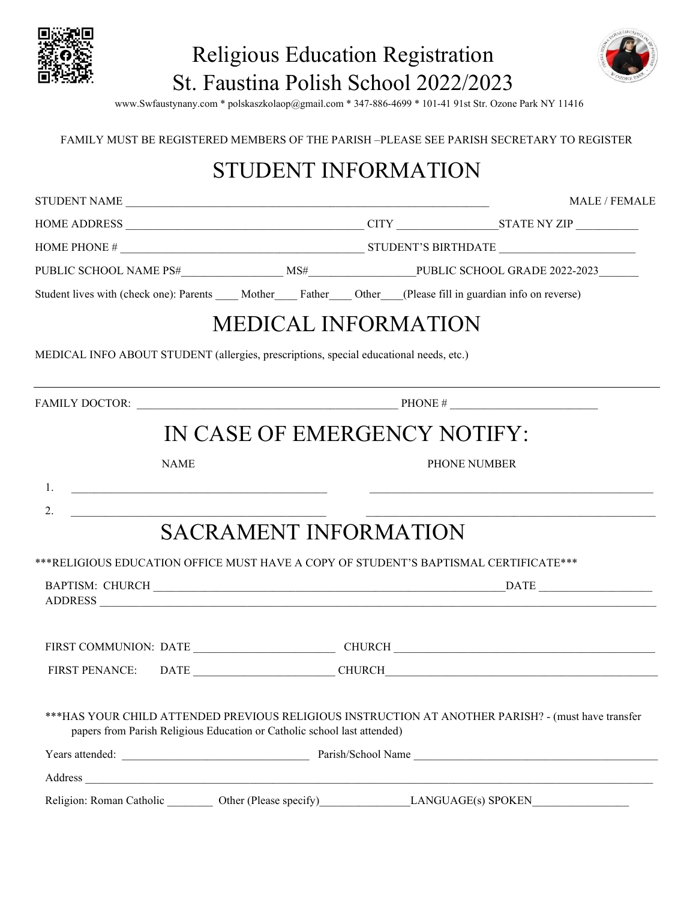

## Religious Education Registration St. Faustina Polish School 2022/2023



www.Swfaustynany.com \* polskaszkolaop@gmail.com \* 347-886-4699 \* 101-41 91st Str. Ozone Park NY 11416

#### FAMILY MUST BE REGISTERED MEMBERS OF THE PARISH –PLEASE SEE PARISH SECRETARY TO REGISTER

#### STUDENT INFORMATION

|                                                                                                                         |                              | <b>MALE / FEMALE</b>                                                                                        |
|-------------------------------------------------------------------------------------------------------------------------|------------------------------|-------------------------------------------------------------------------------------------------------------|
|                                                                                                                         |                              |                                                                                                             |
|                                                                                                                         |                              |                                                                                                             |
|                                                                                                                         |                              |                                                                                                             |
| Student lives with (check one): Parents ____ Mother ____ Father ____ Other ___(Please fill in guardian info on reverse) |                              |                                                                                                             |
|                                                                                                                         | <b>MEDICAL INFORMATION</b>   |                                                                                                             |
| MEDICAL INFO ABOUT STUDENT (allergies, prescriptions, special educational needs, etc.)                                  |                              |                                                                                                             |
|                                                                                                                         |                              |                                                                                                             |
|                                                                                                                         | IN CASE OF EMERGENCY NOTIFY: |                                                                                                             |
| <b>NAME</b>                                                                                                             |                              | PHONE NUMBER                                                                                                |
| 1.<br><u> 1980 - Andrea Andrews, amerikansk politik (</u>                                                               |                              | <u> 1980 - Jan Barbara Barbara, manazar amerikan pendadaran pendadaran pendada personal dan pendada per</u> |
| 2.                                                                                                                      |                              |                                                                                                             |
|                                                                                                                         | <b>SACRAMENT INFORMATION</b> |                                                                                                             |
| ***RELIGIOUS EDUCATION OFFICE MUST HAVE A COPY OF STUDENT'S BAPTISMAL CERTIFICATE***                                    |                              |                                                                                                             |
| ADDRESS                                                                                                                 |                              |                                                                                                             |
|                                                                                                                         |                              |                                                                                                             |
|                                                                                                                         |                              |                                                                                                             |
| papers from Parish Religious Education or Catholic school last attended)                                                |                              | ***HAS YOUR CHILD ATTENDED PREVIOUS RELIGIOUS INSTRUCTION AT ANOTHER PARISH? - (must have transfer          |
|                                                                                                                         |                              |                                                                                                             |
|                                                                                                                         |                              |                                                                                                             |
|                                                                                                                         |                              | Religion: Roman Catholic Other (Please specify) LANGUAGE(s) SPOKEN                                          |